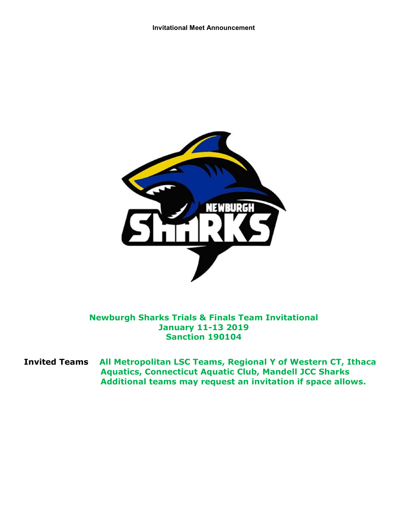

Newburgh Sharks Trials & Finals Team Invitational January 11-13 2019 Sanction 190104

Invited Teams All Metropolitan LSC Teams, Regional Y of Western CT, Ithaca Aquatics, Connecticut Aquatic Club, Mandell JCC Sharks Additional teams may request an invitation if space allows.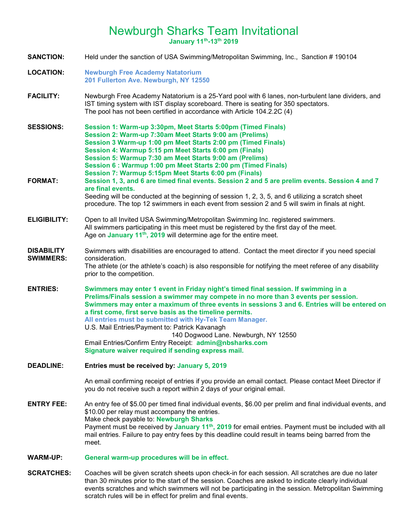# Newburgh Sharks Team Invitational

January 11th-13th 2019

SANCTION: Held under the sanction of USA Swimming/Metropolitan Swimming, Inc., Sanction # 190104 LOCATION: Newburgh Free Academy Natatorium 201 Fullerton Ave. Newburgh, NY 12550 FACILITY: Newburgh Free Academy Natatorium is a 25-Yard pool with 6 lanes, non-turbulent lane dividers, and IST timing system with IST display scoreboard. There is seating for 350 spectators. The pool has not been certified in accordance with Article 104.2.2C (4) SESSIONS: Session 1: Warm-up 3:30pm, Meet Starts 5:00pm (Timed Finals) Session 2: Warm-up 7:30am Meet Starts 9:00 am (Prelims) Session 3 Warm-up 1:00 pm Meet Starts 2:00 pm (Timed Finals) Session 4: Warmup 5:15 pm Meet Starts 6:00 pm (Finals) Session 5: Warmup 7:30 am Meet Starts 9:00 am (Prelims) Session 6 : Warmup 1:00 pm Meet Starts 2:00 pm (Timed Finals) Session 7: Warmup 5:15pm Meet Starts 6:00 pm (Finals) FORMAT: Session 1, 3, and 6 are timed final events. Session 2 and 5 are prelim events. Session 4 and 7 are final events. Seeding will be conducted at the beginning of session 1, 2, 3, 5, and 6 utilizing a scratch sheet procedure. The top 12 swimmers in each event from session 2 and 5 will swim in finals at night. ELIGIBILITY: Open to all Invited USA Swimming/Metropolitan Swimming Inc. registered swimmers. All swimmers participating in this meet must be registered by the first day of the meet. Age on January  $11<sup>th</sup>$ , 2019 will determine age for the entire meet. **DISABILITY** SWIMMERS: Swimmers with disabilities are encouraged to attend. Contact the meet director if you need special consideration. The athlete (or the athlete's coach) is also responsible for notifying the meet referee of any disability prior to the competition. ENTRIES: Swimmers may enter 1 event in Friday night's timed final session. If swimming in a Prelims/Finals session a swimmer may compete in no more than 3 events per session. Swimmers may enter a maximum of three events in sessions 3 and 6. Entries will be entered on a first come, first serve basis as the timeline permits. All entries must be submitted with Hy-Tek Team Manager. U.S. Mail Entries/Payment to: Patrick Kavanagh 140 Dogwood Lane. Newburgh, NY 12550 Email Entries/Confirm Entry Receipt: admin@nbsharks.com Signature waiver required if sending express mail. DEADLINE: Entries must be received by: January 5, 2019 An email confirming receipt of entries if you provide an email contact. Please contact Meet Director if you do not receive such a report within 2 days of your original email. ENTRY FEE: An entry fee of \$5.00 per timed final individual events, \$6.00 per prelim and final individual events, and \$10.00 per relay must accompany the entries. Make check payable to: Newburgh Sharks Payment must be received by January 11<sup>th</sup>, 2019 for email entries. Payment must be included with all mail entries. Failure to pay entry fees by this deadline could result in teams being barred from the meet. WARM-UP: General warm-up procedures will be in effect. SCRATCHES: Coaches will be given scratch sheets upon check-in for each session. All scratches are due no later than 30 minutes prior to the start of the session. Coaches are asked to indicate clearly individual events scratches and which swimmers will not be participating in the session. Metropolitan Swimming

scratch rules will be in effect for prelim and final events.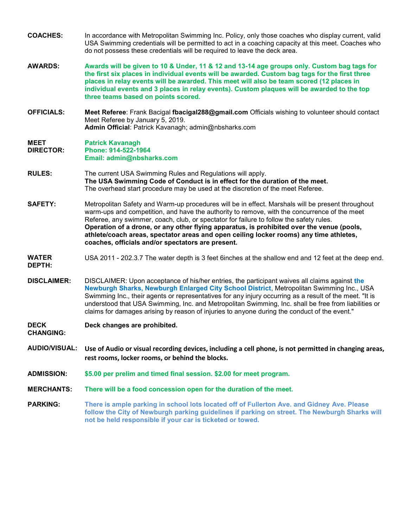- COACHES: In accordance with Metropolitan Swimming Inc. Policy, only those coaches who display current, valid USA Swimming credentials will be permitted to act in a coaching capacity at this meet. Coaches who do not possess these credentials will be required to leave the deck area.
- AWARDS: Awards will be given to 10 & Under, 11 & 12 and 13-14 age groups only. Custom bag tags for the first six places in individual events will be awarded. Custom bag tags for the first three places in relay events will be awarded. This meet will also be team scored (12 places in individual events and 3 places in relay events). Custom plaques will be awarded to the top three teams based on points scored.
- OFFICIALS: Meet Referee: Frank Bacigal fbacigal288@gmail.com Officials wishing to volunteer should contact Meet Referee by January 5, 2019. Admin Official: Patrick Kavanagh; admin@nbsharks.com

#### MEET DIRECTOR: Patrick Kavanagh Phone: 914-522-1964 Email: admin@nbsharks.com

- RULES: The current USA Swimming Rules and Regulations will apply. The USA Swimming Code of Conduct is in effect for the duration of the meet. The overhead start procedure may be used at the discretion of the meet Referee.
- SAFETY: Metropolitan Safety and Warm-up procedures will be in effect. Marshals will be present throughout warm-ups and competition, and have the authority to remove, with the concurrence of the meet Referee, any swimmer, coach, club, or spectator for failure to follow the safety rules. Operation of a drone, or any other flying apparatus, is prohibited over the venue (pools, athlete/coach areas, spectator areas and open ceiling locker rooms) any time athletes, coaches, officials and/or spectators are present.

#### WATER USA 2011 - 202.3.7 The water depth is 3 feet 6inches at the shallow end and 12 feet at the deep end.

DEPTH:

**DISCLAIMER:** DISCLAIMER: Upon acceptance of his/her entries, the participant waives all claims against the Newburgh Sharks, Newburgh Enlarged City School District, Metropolitan Swimming Inc., USA Swimming Inc., their agents or representatives for any injury occurring as a result of the meet. "It is understood that USA Swimming, Inc. and Metropolitan Swimming, Inc. shall be free from liabilities or claims for damages arising by reason of injuries to anyone during the conduct of the event."

DECK Deck changes are prohibited.

CHANGING:

- AUDIO/VISUAL: Use of Audio or visual recording devices, including a cell phone, is not permitted in changing areas, rest rooms, locker rooms, or behind the blocks.
- ADMISSION: \$5.00 per prelim and timed final session. \$2.00 for meet program.
- MERCHANTS: There will be a food concession open for the duration of the meet.
- PARKING: There is ample parking in school lots located off of Fullerton Ave. and Gidney Ave. Please follow the City of Newburgh parking guidelines if parking on street. The Newburgh Sharks will not be held responsible if your car is ticketed or towed.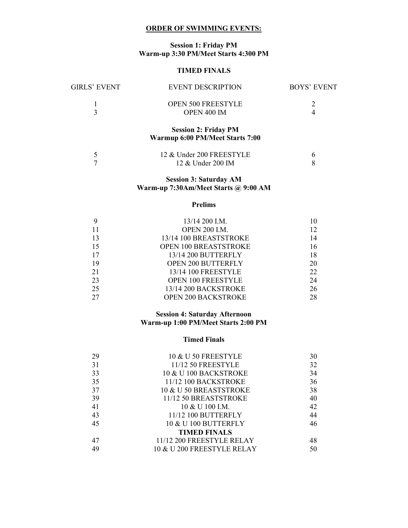### ORDER OF SWIMMING EVENTS:

# Session 1: Friday PM Warm-up 3:30 PM/Meet Starts 4:300 PM

## TIMED FINALS

| GIRLS' EVENT | <b>EVENT DESCRIPTION</b>                                       | BOYS' EVENT                 |
|--------------|----------------------------------------------------------------|-----------------------------|
| 3            | <b>OPEN 500 FREESTYLE</b><br>OPEN 400 IM                       | $\mathcal{D}_{\mathcal{L}}$ |
|              | <b>Session 2: Friday PM</b><br>Warmup 6:00 PM/Meet Starts 7:00 |                             |
|              | 12 & Under 200 FREESTYLE                                       |                             |

# Session 3: Saturday AM

12 & Under 200 IM

8

7

# Warm-up 7:30Am/Meet Starts @ 9:00 AM

# Prelims

|    | $13/14$ 200 I.M.             | 10 |
|----|------------------------------|----|
| 11 | <b>OPEN 200 I.M.</b>         | 12 |
| 13 | 13/14 100 BREASTSTROKE       | 14 |
| 15 | <b>OPEN 100 BREASTSTROKE</b> | 16 |
| 17 | 13/14 200 BUTTERFLY          | 18 |
| 19 | <b>OPEN 200 BUTTERFLY</b>    | 20 |
| 21 | 13/14 100 FREESTYLE          | 22 |
| 23 | <b>OPEN 100 FREESTYLE</b>    | 24 |
| 25 | 13/14 200 BACKSTROKE         | 26 |
| 27 | <b>OPEN 200 BACKSTROKE</b>   | 28 |

# Session 4: Saturday Afternoon Warm-up 1:00 PM/Meet Starts 2:00 PM

#### Timed Finals

| 29 | 10 & U 50 FREESTYLE        | 30 |
|----|----------------------------|----|
| 31 | 11/12 50 FREESTYLE         | 32 |
| 33 | 10 & U 100 BACKSTROKE      | 34 |
| 35 | 11/12 100 BACKSTROKE       | 36 |
| 37 | 10 & U 50 BREASTSTROKE     | 38 |
| 39 | 11/12 50 BREASTSTROKE      | 40 |
| 41 | $10 \& U 100$ I.M.         | 42 |
| 43 | 11/12 100 BUTTERFLY        | 44 |
| 45 | 10 & U 100 BUTTERFLY       | 46 |
|    | <b>TIMED FINALS</b>        |    |
| 47 | 11/12 200 FREESTYLE RELAY  | 48 |
| 49 | 10 & U 200 FREESTYLE RELAY | 50 |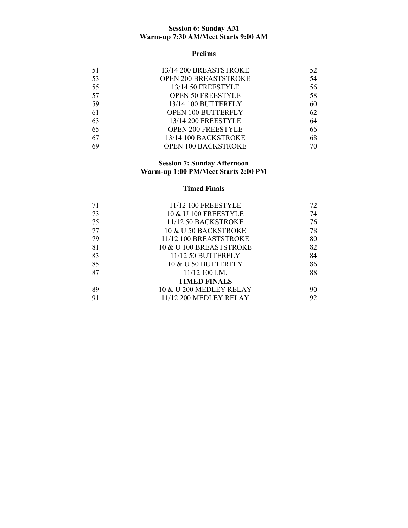#### Session 6: Sunday AM Warm-up 7:30 AM/Meet Starts 9:00 AM

### Prelims

| 51 | 13/14 200 BREASTSTROKE       | 52 |
|----|------------------------------|----|
| 53 | <b>OPEN 200 BREASTSTROKE</b> | 54 |
| 55 | 13/14 50 FREESTYLE           | 56 |
| 57 | OPEN 50 FREESTYLE            | 58 |
| 59 | 13/14 100 BUTTERFLY          | 60 |
| 61 | OPEN 100 BUTTERFLY           | 62 |
| 63 | 13/14 200 FREESTYLE          | 64 |
| 65 | OPEN 200 FREESTYLE           | 66 |
| 67 | 13/14 100 BACKSTROKE         | 68 |
| 69 | <b>OPEN 100 BACKSTROKE</b>   | 70 |

#### Session 7: Sunday Afternoon Warm-up 1:00 PM/Meet Starts 2:00 PM

# Timed Finals

| 71 | 11/12 100 FREESTYLE     | 72 |
|----|-------------------------|----|
| 73 | 10 & U 100 FREESTYLE    | 74 |
| 75 | 11/12 50 BACKSTROKE     | 76 |
| 77 | 10 & U 50 BACKSTROKE    | 78 |
| 79 | 11/12 100 BREASTSTROKE  | 80 |
| 81 | 10 & U 100 BREASTSTROKE | 82 |
| 83 | 11/12 50 BUTTERFLY      | 84 |
| 85 | 10 & U 50 BUTTERFLY     | 86 |
| 87 | $11/12$ 100 I.M.        | 88 |
|    | <b>TIMED FINALS</b>     |    |
| 89 | 10 & U 200 MEDLEY RELAY | 90 |
|    | 11/12 200 MEDLEY RELAY  | 92 |